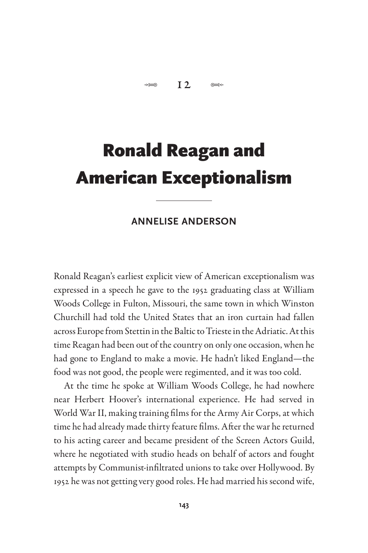$\leftarrow$  $12 \qquad \Leftrightarrow$ 

# Ronald Reagan and American Exceptionalism

# **ANNELISE ANDERSON**

Ronald Reagan's earliest explicit view of American exceptionalism was expressed in a speech he gave to the 1952 graduating class at William Woods College in Fulton, Missouri, the same town in which Winston Churchill had told the United States that an iron curtain had fallen across Europe from Stettin in the Baltic to Trieste in the Adriatic. At this time Reagan had been out of the country on only one occasion, when he had gone to England to make a movie. He hadn't liked England—the food was not good, the people were regimented, and it was too cold.

At the time he spoke at William Woods College, he had nowhere near Herbert Hoover's international experience. He had served in World War II, making training films for the Army Air Corps, at which time he had already made thirty feature films. After the war he returned to his acting career and became president of the Screen Actors Guild, where he negotiated with studio heads on behalf of actors and fought attempts by Communist-infiltrated unions to take over Hollywood. By 1952 he was not getting very good roles. He had married his second wife,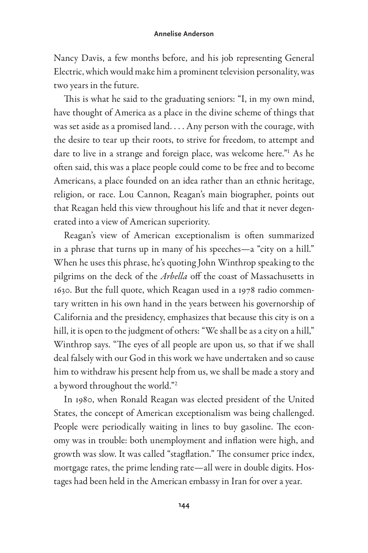## **Annelise Anderson**

Nancy Davis, a few months before, and his job representing General Electric, which would make him a prominent television personality, was two years in the future.

This is what he said to the graduating seniors: "I, in my own mind, have thought of America as a place in the divine scheme of things that was set aside as a promised land. . . . Any person with the courage, with the desire to tear up their roots, to strive for freedom, to attempt and dare to live in a strange and foreign place, was welcome here."1 As he often said, this was a place people could come to be free and to become Americans, a place founded on an idea rather than an ethnic heritage, religion, or race. Lou Cannon, Reagan's main biographer, points out that Reagan held this view throughout his life and that it never degenerated into a view of American superiority.

Reagan's view of American exceptionalism is often summarized in a phrase that turns up in many of his speeches—a "city on a hill." When he uses this phrase, he's quoting John Winthrop speaking to the pilgrims on the deck of the *Arbella* off the coast of Massachusetts in 1630. But the full quote, which Reagan used in a 1978 radio commentary written in his own hand in the years between his governorship of California and the presidency, emphasizes that because this city is on a hill, it is open to the judgment of others: "We shall be as a city on a hill," Winthrop says. "The eyes of all people are upon us, so that if we shall deal falsely with our God in this work we have undertaken and so cause him to withdraw his present help from us, we shall be made a story and a byword throughout the world."2

In 1980, when Ronald Reagan was elected president of the United States, the concept of American exceptionalism was being challenged. People were periodically waiting in lines to buy gasoline. The economy was in trouble: both unemployment and inflation were high, and growth was slow. It was called "stagflation." The consumer price index, mortgage rates, the prime lending rate—all were in double digits. Hostages had been held in the American embassy in Iran for over a year.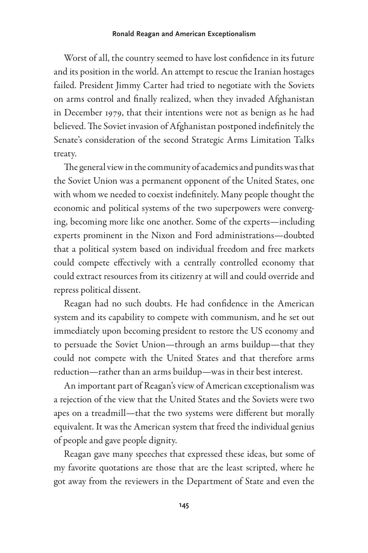#### **Ronald Reagan and American Exceptionalism**

Worst of all, the country seemed to have lost confidence in its future and its position in the world. An attempt to rescue the Iranian hostages failed. President Jimmy Carter had tried to negotiate with the Soviets on arms control and finally realized, when they invaded Afghanistan in December 1979, that their intentions were not as benign as he had believed. The Soviet invasion of Afghanistan postponed indefinitely the Senate's consideration of the second Strategic Arms Limitation Talks treaty.

The general view in the community of academics and pundits was that the Soviet Union was a permanent opponent of the United States, one with whom we needed to coexist indefinitely. Many people thought the economic and political systems of the two superpowers were converging, becoming more like one another. Some of the experts—including experts prominent in the Nixon and Ford administrations—doubted that a political system based on individual freedom and free markets could compete effectively with a centrally controlled economy that could extract resources from its citizenry at will and could override and repress political dissent.

Reagan had no such doubts. He had confidence in the American system and its capability to compete with communism, and he set out immediately upon becoming president to restore the US economy and to persuade the Soviet Union—through an arms buildup—that they could not compete with the United States and that therefore arms reduction—rather than an arms buildup—was in their best interest.

An important part of Reagan's view of American exceptionalism was a rejection of the view that the United States and the Soviets were two apes on a treadmill—that the two systems were different but morally equivalent. It was the American system that freed the individual genius of people and gave people dignity.

Reagan gave many speeches that expressed these ideas, but some of my favorite quotations are those that are the least scripted, where he got away from the reviewers in the Department of State and even the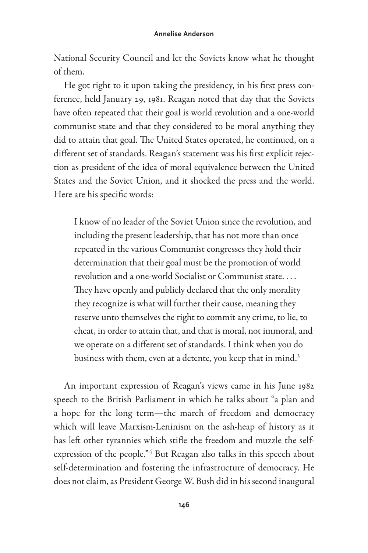National Security Council and let the Soviets know what he thought of them.

He got right to it upon taking the presidency, in his first press conference, held January 29, 1981. Reagan noted that day that the Soviets have often repeated that their goal is world revolution and a one-world communist state and that they considered to be moral anything they did to attain that goal. The United States operated, he continued, on a different set of standards. Reagan's statement was his first explicit rejection as president of the idea of moral equivalence between the United States and the Soviet Union, and it shocked the press and the world. Here are his specific words:

I know of no leader of the Soviet Union since the revolution, and including the present leadership, that has not more than once repeated in the various Communist congresses they hold their determination that their goal must be the promotion of world revolution and a one-world Socialist or Communist state.... They have openly and publicly declared that the only morality they recognize is what will further their cause, meaning they reserve unto themselves the right to commit any crime, to lie, to cheat, in order to attain that, and that is moral, not immoral, and we operate on a different set of standards. I think when you do business with them, even at a detente, you keep that in mind.<sup>3</sup>

An important expression of Reagan's views came in his June 1982 speech to the British Parliament in which he talks about "a plan and a hope for the long term—the march of freedom and democracy which will leave Marxism-Leninism on the ash-heap of history as it has left other tyrannies which stifle the freedom and muzzle the selfexpression of the people."<sup>4</sup> But Reagan also talks in this speech about self- determination and fostering the infrastructure of democracy. He does not claim, as President George W. Bush did in his second inaugural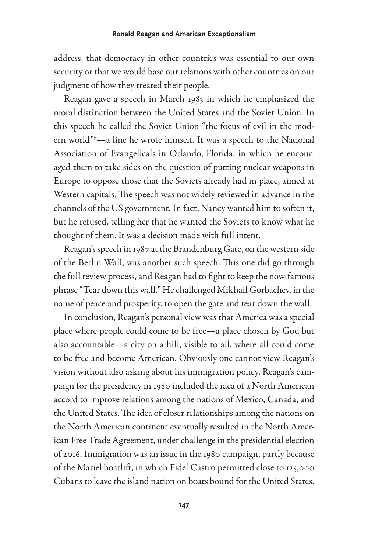## **Ronald Reagan and American Exceptionalism**

address, that democracy in other countries was essential to our own security or that we would base our relations with other countries on our judgment of how they treated their people.

Reagan gave a speech in March 1983 in which he emphasized the moral distinction between the United States and the Soviet Union. In this speech he called the Soviet Union "the focus of evil in the modern world"<sup>5</sup>—a line he wrote himself. It was a speech to the National Association of Evangelicals in Orlando, Florida, in which he encouraged them to take sides on the question of putting nuclear weapons in Europe to oppose those that the Soviets already had in place, aimed at Western capitals. The speech was not widely reviewed in advance in the channels of the US government. In fact, Nancy wanted him to soften it, but he refused, telling her that he wanted the Soviets to know what he thought of them. It was a decision made with full intent.

Reagan's speech in 1987 at the Brandenburg Gate, on the western side of the Berlin Wall, was another such speech. This one did go through the full review process, and Reagan had to fight to keep the now-famous phrase "Tear down this wall." He challenged Mikhail Gorbachev, in the name of peace and prosperity, to open the gate and tear down the wall.

In conclusion, Reagan's personal view was that America was a special place where people could come to be free—a place chosen by God but also accountable—a city on a hill, visible to all, where all could come to be free and become American. Obviously one cannot view Reagan's vision without also asking about his immigration policy. Reagan's campaign for the presidency in 1980 included the idea of a North American accord to improve relations among the nations of Mexico, Canada, and the United States. The idea of closer relationships among the nations on the North American continent eventually resulted in the North American Free Trade Agreement, under challenge in the presidential election of 2016. Immigration was an issue in the 1980 campaign, partly because of the Mariel boatlift, in which Fidel Castro permitted close to 125,000 Cubans to leave the island nation on boats bound for the United States.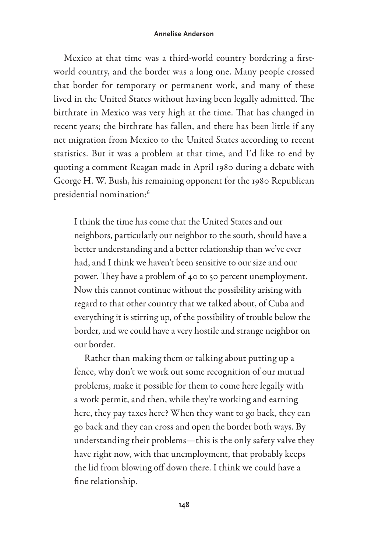## **Annelise Anderson**

Mexico at that time was a third-world country bordering a firstworld country, and the border was a long one. Many people crossed that border for temporary or permanent work, and many of these lived in the United States without having been legally admitted. The birthrate in Mexico was very high at the time. That has changed in recent years; the birthrate has fallen, and there has been little if any net migration from Mexico to the United States according to recent statistics. But it was a problem at that time, and I'd like to end by quoting a comment Reagan made in April 1980 during a debate with George H. W. Bush, his remaining opponent for the 1980 Republican presidential nomination:6

I think the time has come that the United States and our neighbors, particularly our neighbor to the south, should have a better understanding and a better relationship than we've ever had, and I think we haven't been sensitive to our size and our power. They have a problem of 40 to 50 percent unemployment. Now this cannot continue without the possibility arising with regard to that other country that we talked about, of Cuba and everything it is stirring up, of the possibility of trouble below the border, and we could have a very hostile and strange neighbor on our border.

Rather than making them or talking about putting up a fence, why don't we work out some recognition of our mutual problems, make it possible for them to come here legally with a work permit, and then, while they're working and earning here, they pay taxes here? When they want to go back, they can go back and they can cross and open the border both ways. By understanding their problems—this is the only safety valve they have right now, with that unemployment, that probably keeps the lid from blowing off down there. I think we could have a fine relationship.